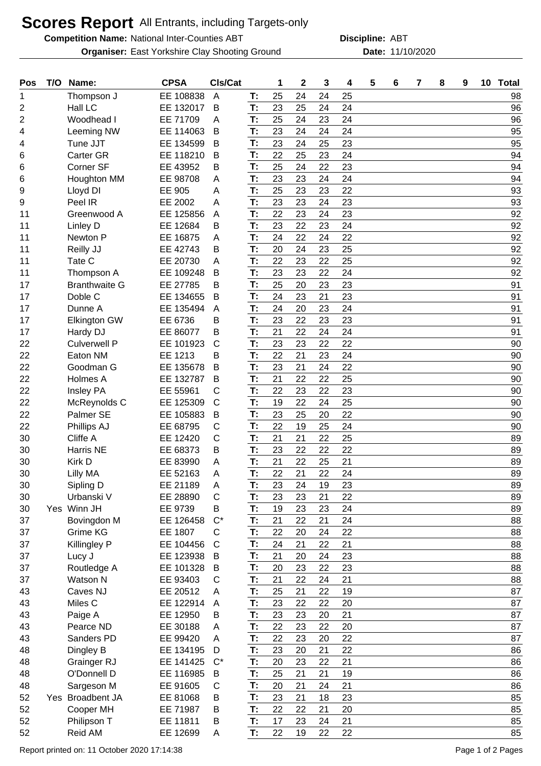## **Scores Report** All Entrants, including Targets-only

**Competition Name:** National Inter-Counties ABT **ABT Discipline:** ABT

**Organiser:** East Yorkshire Clay Shooting Ground **11/10/2020** Date: 11/10/2020

**Discipline:**

| Pos            | T/O Name:            | <b>CPSA</b>   | CIs/Cat      |    | 1  | $\mathbf 2$ | 3  | 4  | 5 | 6 | $\overline{7}$ | 8 | 9 | 10 Total |
|----------------|----------------------|---------------|--------------|----|----|-------------|----|----|---|---|----------------|---|---|----------|
| 1              | Thompson J           | EE 108838     | A            | T: | 25 | 24          | 24 | 25 |   |   |                |   |   | 98       |
| 2              | Hall LC              | EE 132017     | B            | T: | 23 | 25          | 24 | 24 |   |   |                |   |   | 96       |
| $\overline{2}$ | Woodhead I           | EE 71709      | A            | T: | 25 | 24          | 23 | 24 |   |   |                |   |   | 96       |
| 4              | Leeming NW           | EE 114063     | В            | T: | 23 | 24          | 24 | 24 |   |   |                |   |   | 95       |
| 4              | Tune JJT             | EE 134599     | B            | T: | 23 | 24          | 25 | 23 |   |   |                |   |   | 95       |
| 6              | <b>Carter GR</b>     | EE 118210     | B            | T: | 22 | 25          | 23 | 24 |   |   |                |   |   | 94       |
| 6              | Corner SF            | EE 43952      | В            | T: | 25 | 24          | 22 | 23 |   |   |                |   |   | 94       |
| 6              | Houghton MM          | EE 98708      | A            | T: | 23 | 23          | 24 | 24 |   |   |                |   |   | 94       |
| 9              | Lloyd DI             | <b>EE 905</b> | A            | T: | 25 | 23          | 23 | 22 |   |   |                |   |   | 93       |
| 9              | Peel IR              | EE 2002       | A            | T: | 23 | 23          | 24 | 23 |   |   |                |   |   | 93       |
| 11             | Greenwood A          | EE 125856     | A            | T: | 22 | 23          | 24 | 23 |   |   |                |   |   | 92       |
| 11             | Linley D             | EE 12684      | В            | T: | 23 | 22          | 23 | 24 |   |   |                |   |   | 92       |
| 11             | Newton P             | EE 16875      | A            | T: | 24 | 22          | 24 | 22 |   |   |                |   |   | 92       |
| 11             | Reilly JJ            | EE 42743      | В            | T: | 20 | 24          | 23 | 25 |   |   |                |   |   | 92       |
| 11             | Tate C               | EE 20730      | Α            | T: | 22 | 23          | 22 | 25 |   |   |                |   |   | 92       |
| 11             | Thompson A           | EE 109248     | B            | T: | 23 | 23          | 22 | 24 |   |   |                |   |   | 92       |
| 17             | <b>Branthwaite G</b> | EE 27785      | B            | T: | 25 | 20          | 23 | 23 |   |   |                |   |   | 91       |
| 17             | Doble C              | EE 134655     | B            | T: | 24 | 23          | 21 | 23 |   |   |                |   |   | 91       |
| 17             | Dunne A              | EE 135494     | A            | T: | 24 | 20          | 23 | 24 |   |   |                |   |   | 91       |
| 17             | <b>Elkington GW</b>  | EE 6736       | B            | T: | 23 | 22          | 23 | 23 |   |   |                |   |   | 91       |
| 17             | Hardy DJ             | EE 86077      | B            | T: | 21 | 22          | 24 | 24 |   |   |                |   |   | 91       |
| 22             | <b>Culverwell P</b>  | EE 101923     | $\mathsf{C}$ | T: | 23 | 23          | 22 | 22 |   |   |                |   |   | 90       |
| 22             | Eaton NM             | EE 1213       | B            | T: | 22 | 21          | 23 | 24 |   |   |                |   |   | 90       |
| 22             | Goodman G            | EE 135678     | B            | T: | 23 | 21          | 24 | 22 |   |   |                |   |   | 90       |
| 22             | Holmes A             | EE 132787     | В            | T: | 21 | 22          | 22 | 25 |   |   |                |   |   | 90       |
| 22             | Insley PA            | EE 55961      | C            | T: | 22 | 23          | 22 | 23 |   |   |                |   |   | 90       |
| 22             | McReynolds C         | EE 125309     | $\mathsf C$  | T: | 19 | 22          | 24 | 25 |   |   |                |   |   | 90       |
| 22             | Palmer SE            | EE 105883     | В            | T: | 23 | 25          | 20 | 22 |   |   |                |   |   | 90       |
| 22             | Phillips AJ          | EE 68795      | С            | T: | 22 | 19          | 25 | 24 |   |   |                |   |   | 90       |
| 30             | Cliffe A             | EE 12420      | C            | T: | 21 | 21          | 22 | 25 |   |   |                |   |   | 89       |
| 30             | Harris NE            | EE 68373      | B            | T: | 23 | 22          | 22 | 22 |   |   |                |   |   | 89       |
| 30             | Kirk D               | EE 83990      | A            | T: | 21 | 22          | 25 | 21 |   |   |                |   |   | 89       |
| 30             | Lilly MA             | EE 52163      | A            | T: | 22 | 21          | 22 | 24 |   |   |                |   |   | 89       |
| 30             | Sipling D            | EE 21189      | A            | T: | 23 | 24          | 19 | 23 |   |   |                |   |   | 89       |
| 30             | Urbanski V           | EE 28890      | $\mathsf{C}$ | T: | 23 | 23          | 21 | 22 |   |   |                |   |   | 89       |
| 30             | Yes Winn JH          | EE 9739       | В            | T: | 19 | 23          | 23 | 24 |   |   |                |   |   | 89       |
| 37             | Bovingdon M          | EE 126458     | $C^*$        | T: | 21 | 22          | 21 | 24 |   |   |                |   |   | 88       |
| 37             | Grime KG             | EE 1807       | C            | T: | 22 | 20          | 24 | 22 |   |   |                |   |   | 88       |
| 37             | Killingley P         | EE 104456     | $\mathsf{C}$ | T: | 24 | 21          | 22 | 21 |   |   |                |   |   | 88       |
| 37             | Lucy J               | EE 123938     | B            | T: | 21 | 20          | 24 | 23 |   |   |                |   |   | 88       |
| 37             | Routledge A          | EE 101328     | B            | T: | 20 | 23          | 22 | 23 |   |   |                |   |   | 88       |
| 37             | Watson N             | EE 93403      | C            | T: | 21 | 22          | 24 | 21 |   |   |                |   |   | 88       |
| 43             | Caves NJ             | EE 20512      | A            | T: | 25 | 21          | 22 | 19 |   |   |                |   |   | 87       |
| 43             | Miles C              | EE 122914     | A            | T: | 23 | 22          | 22 | 20 |   |   |                |   |   | 87       |
| 43             | Paige A              | EE 12950      | В            | T: | 23 | 23          | 20 | 21 |   |   |                |   |   | 87       |
| 43             | Pearce ND            | EE 30188      | A            | T: | 22 | 23          | 22 | 20 |   |   |                |   |   | 87       |
| 43             | Sanders PD           | EE 99420      | A            | T: | 22 | 23          | 20 | 22 |   |   |                |   |   | 87       |
| 48             | Dingley B            | EE 134195     | D            | T: | 23 | 20          | 21 | 22 |   |   |                |   |   | 86       |
| 48             | Grainger RJ          | EE 141425     | $C^*$        | T: | 20 | 23          | 22 | 21 |   |   |                |   |   | 86       |
| 48             | O'Donnell D          | EE 116985     | B            | T: | 25 | 21          | 21 | 19 |   |   |                |   |   | 86       |
| 48             | Sargeson M           | EE 91605      | C            | T: | 20 | 21          | 24 | 21 |   |   |                |   |   | 86       |
| 52             | Yes Broadbent JA     | EE 81068      | B            | T: | 23 | 21          | 18 | 23 |   |   |                |   |   | 85       |
| 52             | Cooper MH            | EE 71987      | B            | T: | 22 | 22          | 21 | 20 |   |   |                |   |   | 85       |
| 52             | Philipson T          | EE 11811      | B            | T: | 17 | 23          | 24 | 21 |   |   |                |   |   | 85       |
| 52             | Reid AM              | EE 12699      | A            | T. | 22 | 19          | 22 | 22 |   |   |                |   |   | 85       |
|                |                      |               |              |    |    |             |    |    |   |   |                |   |   |          |